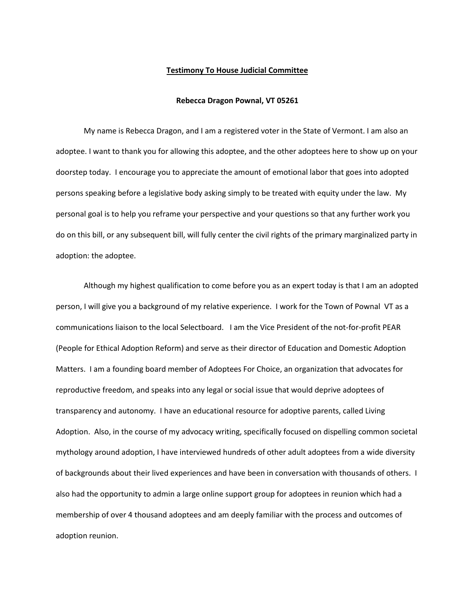## **Testimony To House Judicial Committee**

## **Rebecca Dragon Pownal, VT 05261**

My name is Rebecca Dragon, and I am a registered voter in the State of Vermont. I am also an adoptee. I want to thank you for allowing this adoptee, and the other adoptees here to show up on your doorstep today. I encourage you to appreciate the amount of emotional labor that goes into adopted persons speaking before a legislative body asking simply to be treated with equity under the law. My personal goal is to help you reframe your perspective and your questions so that any further work you do on this bill, or any subsequent bill, will fully center the civil rights of the primary marginalized party in adoption: the adoptee.

Although my highest qualification to come before you as an expert today is that I am an adopted person, I will give you a background of my relative experience. I work for the Town of Pownal VT as a communications liaison to the local Selectboard. I am the Vice President of the not-for-profit PEAR (People for Ethical Adoption Reform) and serve as their director of Education and Domestic Adoption Matters. I am a founding board member of Adoptees For Choice, an organization that advocates for reproductive freedom, and speaks into any legal or social issue that would deprive adoptees of transparency and autonomy. I have an educational resource for adoptive parents, called Living Adoption. Also, in the course of my advocacy writing, specifically focused on dispelling common societal mythology around adoption, I have interviewed hundreds of other adult adoptees from a wide diversity of backgrounds about their lived experiences and have been in conversation with thousands of others. I also had the opportunity to admin a large online support group for adoptees in reunion which had a membership of over 4 thousand adoptees and am deeply familiar with the process and outcomes of adoption reunion.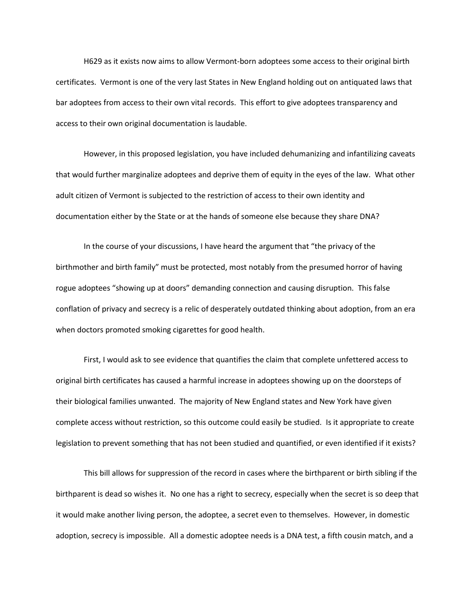H629 as it exists now aims to allow Vermont-born adoptees some access to their original birth certificates. Vermont is one of the very last States in New England holding out on antiquated laws that bar adoptees from access to their own vital records. This effort to give adoptees transparency and access to their own original documentation is laudable.

 However, in this proposed legislation, you have included dehumanizing and infantilizing caveats that would further marginalize adoptees and deprive them of equity in the eyes of the law. What other adult citizen of Vermont is subjected to the restriction of access to their own identity and documentation either by the State or at the hands of someone else because they share DNA?

 In the course of your discussions, I have heard the argument that "the privacy of the birthmother and birth family" must be protected, most notably from the presumed horror of having rogue adoptees "showing up at doors" demanding connection and causing disruption. This false conflation of privacy and secrecy is a relic of desperately outdated thinking about adoption, from an era when doctors promoted smoking cigarettes for good health.

 First, I would ask to see evidence that quantifies the claim that complete unfettered access to original birth certificates has caused a harmful increase in adoptees showing up on the doorsteps of their biological families unwanted. The majority of New England states and New York have given complete access without restriction, so this outcome could easily be studied. Is it appropriate to create legislation to prevent something that has not been studied and quantified, or even identified if it exists?

This bill allows for suppression of the record in cases where the birthparent or birth sibling if the birthparent is dead so wishes it. No one has a right to secrecy, especially when the secret is so deep that it would make another living person, the adoptee, a secret even to themselves. However, in domestic adoption, secrecy is impossible. All a domestic adoptee needs is a DNA test, a fifth cousin match, and a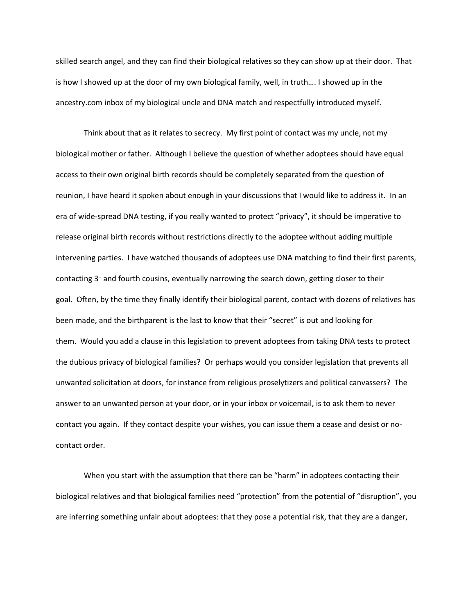skilled search angel, and they can find their biological relatives so they can show up at their door. That is how I showed up at the door of my own biological family, well, in truth…. I showed up in the ancestry.com inbox of my biological uncle and DNA match and respectfully introduced myself.

Think about that as it relates to secrecy. My first point of contact was my uncle, not my biological mother or father. Although I believe the question of whether adoptees should have equal access to their own original birth records should be completely separated from the question of reunion, I have heard it spoken about enough in your discussions that I would like to address it. In an era of wide-spread DNA testing, if you really wanted to protect "privacy", it should be imperative to release original birth records without restrictions directly to the adoptee without adding multiple intervening parties. I have watched thousands of adoptees use DNA matching to find their first parents, contacting  $3<sup>d</sup>$  and fourth cousins, eventually narrowing the search down, getting closer to their goal. Often, by the time they finally identify their biological parent, contact with dozens of relatives has been made, and the birthparent is the last to know that their "secret" is out and looking for them. Would you add a clause in this legislation to prevent adoptees from taking DNA tests to protect the dubious privacy of biological families? Or perhaps would you consider legislation that prevents all unwanted solicitation at doors, for instance from religious proselytizers and political canvassers? The answer to an unwanted person at your door, or in your inbox or voicemail, is to ask them to never contact you again. If they contact despite your wishes, you can issue them a cease and desist or nocontact order.

 When you start with the assumption that there can be "harm" in adoptees contacting their biological relatives and that biological families need "protection" from the potential of "disruption", you are inferring something unfair about adoptees: that they pose a potential risk, that they are a danger,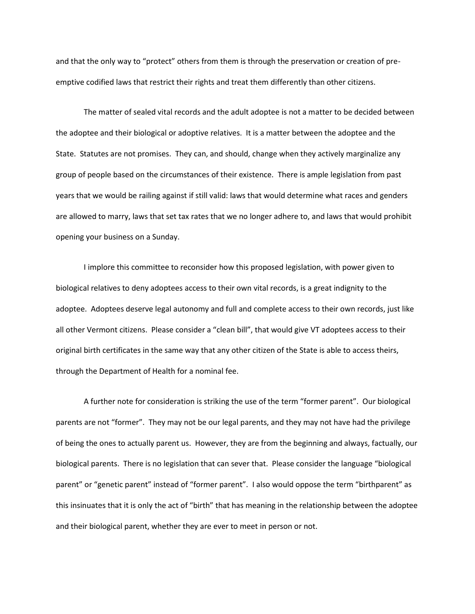and that the only way to "protect" others from them is through the preservation or creation of preemptive codified laws that restrict their rights and treat them differently than other citizens.

 The matter of sealed vital records and the adult adoptee is not a matter to be decided between the adoptee and their biological or adoptive relatives. It is a matter between the adoptee and the State. Statutes are not promises. They can, and should, change when they actively marginalize any group of people based on the circumstances of their existence. There is ample legislation from past years that we would be railing against if still valid: laws that would determine what races and genders are allowed to marry, laws that set tax rates that we no longer adhere to, and laws that would prohibit opening your business on a Sunday.

 I implore this committee to reconsider how this proposed legislation, with power given to biological relatives to deny adoptees access to their own vital records, is a great indignity to the adoptee. Adoptees deserve legal autonomy and full and complete access to their own records, just like all other Vermont citizens. Please consider a "clean bill", that would give VT adoptees access to their original birth certificates in the same way that any other citizen of the State is able to access theirs, through the Department of Health for a nominal fee.

 A further note for consideration is striking the use of the term "former parent". Our biological parents are not "former". They may not be our legal parents, and they may not have had the privilege of being the ones to actually parent us. However, they are from the beginning and always, factually, our biological parents. There is no legislation that can sever that. Please consider the language "biological parent" or "genetic parent" instead of "former parent". I also would oppose the term "birthparent" as this insinuates that it is only the act of "birth" that has meaning in the relationship between the adoptee and their biological parent, whether they are ever to meet in person or not.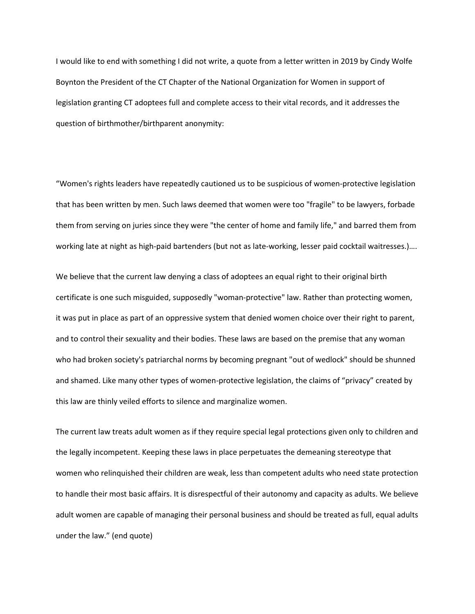I would like to end with something I did not write, a quote from a letter written in 2019 by Cindy Wolfe Boynton the President of the CT Chapter of the National Organization for Women in support of legislation granting CT adoptees full and complete access to their vital records, and it addresses the question of birthmother/birthparent anonymity:

"Women's rights leaders have repeatedly cautioned us to be suspicious of women-protective legislation that has been written by men. Such laws deemed that women were too "fragile" to be lawyers, forbade them from serving on juries since they were "the center of home and family life," and barred them from working late at night as high-paid bartenders (but not as late-working, lesser paid cocktail waitresses.)….

We believe that the current law denying a class of adoptees an equal right to their original birth certificate is one such misguided, supposedly "woman-protective" law. Rather than protecting women, it was put in place as part of an oppressive system that denied women choice over their right to parent, and to control their sexuality and their bodies. These laws are based on the premise that any woman who had broken society's patriarchal norms by becoming pregnant "out of wedlock" should be shunned and shamed. Like many other types of women-protective legislation, the claims of "privacy" created by this law are thinly veiled efforts to silence and marginalize women.

The current law treats adult women as if they require special legal protections given only to children and the legally incompetent. Keeping these laws in place perpetuates the demeaning stereotype that women who relinquished their children are weak, less than competent adults who need state protection to handle their most basic affairs. It is disrespectful of their autonomy and capacity as adults. We believe adult women are capable of managing their personal business and should be treated as full, equal adults under the law." (end quote)